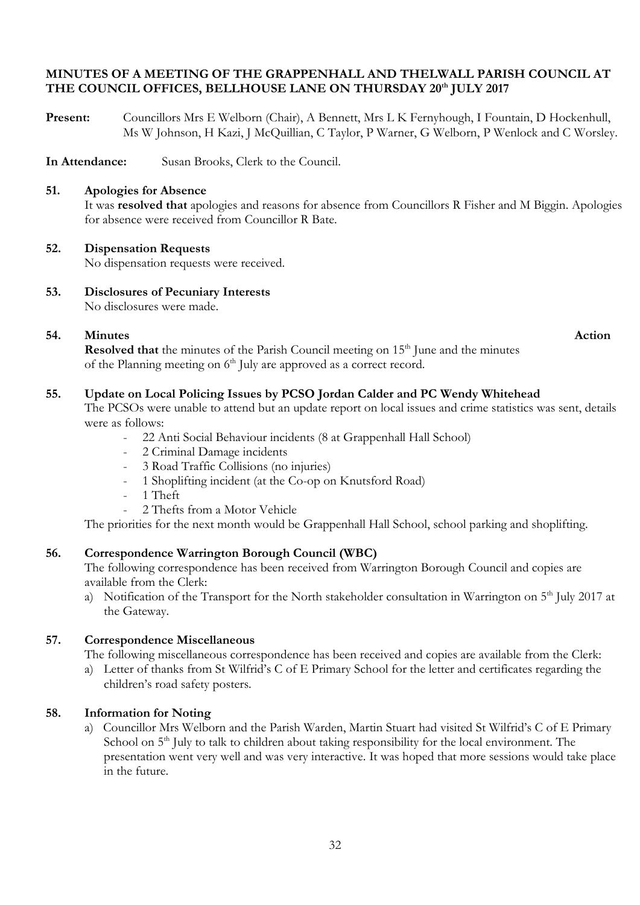### **MINUTES OF A MEETING OF THE GRAPPENHALL AND THELWALL PARISH COUNCIL AT THE COUNCIL OFFICES, BELLHOUSE LANE ON THURSDAY 20th JULY 2017**

**Present:** Councillors Mrs E Welborn (Chair), A Bennett, Mrs L K Fernyhough, I Fountain, D Hockenhull, Ms W Johnson, H Kazi, J McQuillian, C Taylor, P Warner, G Welborn, P Wenlock and C Worsley.

**In Attendance:** Susan Brooks, Clerk to the Council.

### **51. Apologies for Absence**

It was **resolved that** apologies and reasons for absence from Councillors R Fisher and M Biggin. Apologies for absence were received from Councillor R Bate.

#### **52. Dispensation Requests**

No dispensation requests were received.

**53. Disclosures of Pecuniary Interests** No disclosures were made.

# **54.** Minutes Action

**Resolved that** the minutes of the Parish Council meeting on 15<sup>th</sup> June and the minutes of the Planning meeting on 6<sup>th</sup> July are approved as a correct record.

# **55. Update on Local Policing Issues by PCSO Jordan Calder and PC Wendy Whitehead**

The PCSOs were unable to attend but an update report on local issues and crime statistics was sent, details were as follows:

- 22 Anti Social Behaviour incidents (8 at Grappenhall Hall School)
- 2 Criminal Damage incidents
- 3 Road Traffic Collisions (no injuries)
- 1 Shoplifting incident (at the Co-op on Knutsford Road)
- 1 Theft
- 2 Thefts from a Motor Vehicle

The priorities for the next month would be Grappenhall Hall School, school parking and shoplifting.

# **56. Correspondence Warrington Borough Council (WBC)**

The following correspondence has been received from Warrington Borough Council and copies are available from the Clerk:

a) Notification of the Transport for the North stakeholder consultation in Warrington on  $5<sup>th</sup>$  July 2017 at the Gateway.

# **57. Correspondence Miscellaneous**

The following miscellaneous correspondence has been received and copies are available from the Clerk:

a) Letter of thanks from St Wilfrid's C of E Primary School for the letter and certificates regarding the children's road safety posters.

# **58. Information for Noting**

a) Councillor Mrs Welborn and the Parish Warden, Martin Stuart had visited St Wilfrid's C of E Primary School on 5<sup>th</sup> July to talk to children about taking responsibility for the local environment. The presentation went very well and was very interactive. It was hoped that more sessions would take place in the future.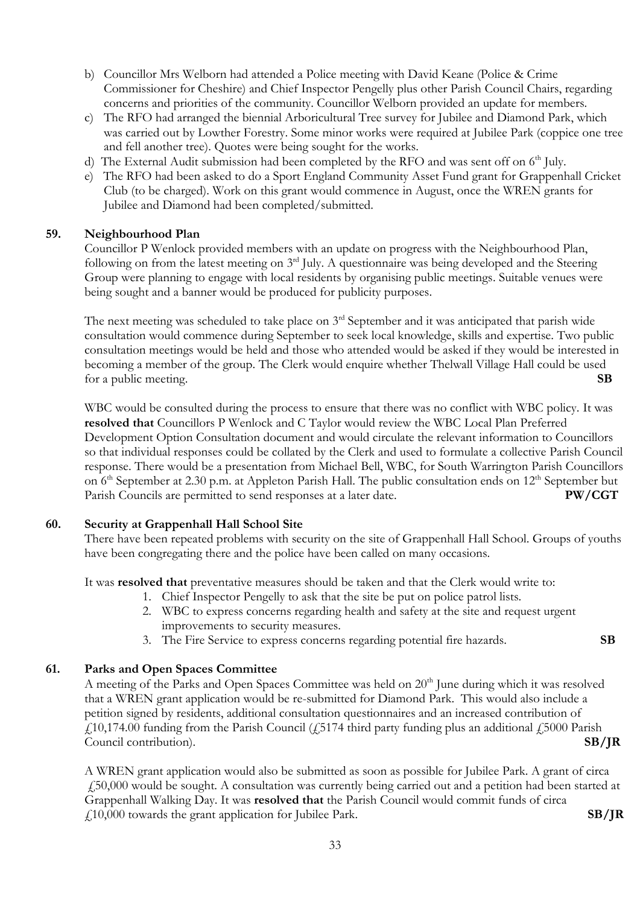- b) Councillor Mrs Welborn had attended a Police meeting with David Keane (Police & Crime Commissioner for Cheshire) and Chief Inspector Pengelly plus other Parish Council Chairs, regarding concerns and priorities of the community. Councillor Welborn provided an update for members.
- c) The RFO had arranged the biennial Arboricultural Tree survey for Jubilee and Diamond Park, which was carried out by Lowther Forestry. Some minor works were required at Jubilee Park (coppice one tree and fell another tree). Quotes were being sought for the works.
- d) The External Audit submission had been completed by the RFO and was sent off on  $6<sup>th</sup>$  July.
- e) The RFO had been asked to do a Sport England Community Asset Fund grant for Grappenhall Cricket Club (to be charged). Work on this grant would commence in August, once the WREN grants for Jubilee and Diamond had been completed/submitted.

#### **59. Neighbourhood Plan**

Councillor P Wenlock provided members with an update on progress with the Neighbourhood Plan, following on from the latest meeting on 3<sup>rd</sup> July. A questionnaire was being developed and the Steering Group were planning to engage with local residents by organising public meetings. Suitable venues were being sought and a banner would be produced for publicity purposes.

The next meeting was scheduled to take place on  $3<sup>rd</sup>$  September and it was anticipated that parish wide consultation would commence during September to seek local knowledge, skills and expertise. Two public consultation meetings would be held and those who attended would be asked if they would be interested in becoming a member of the group. The Clerk would enquire whether Thelwall Village Hall could be used for a public meeting. **SB**

WBC would be consulted during the process to ensure that there was no conflict with WBC policy. It was **resolved that** Councillors P Wenlock and C Taylor would review the WBC Local Plan Preferred Development Option Consultation document and would circulate the relevant information to Councillors so that individual responses could be collated by the Clerk and used to formulate a collective Parish Council response. There would be a presentation from Michael Bell, WBC, for South Warrington Parish Councillors on 6<sup>th</sup> September at 2.30 p.m. at Appleton Parish Hall. The public consultation ends on 12<sup>th</sup> September but Parish Councils are permitted to send responses at a later date. **PW/CGT**

# **60. Security at Grappenhall Hall School Site**

There have been repeated problems with security on the site of Grappenhall Hall School. Groups of youths have been congregating there and the police have been called on many occasions.

It was **resolved that** preventative measures should be taken and that the Clerk would write to:

- 1. Chief Inspector Pengelly to ask that the site be put on police patrol lists.
- 2. WBC to express concerns regarding health and safety at the site and request urgent improvements to security measures.
- 3. The Fire Service to express concerns regarding potential fire hazards. **SB**

# **61. Parks and Open Spaces Committee**

A meeting of the Parks and Open Spaces Committee was held on 20<sup>th</sup> June during which it was resolved that a WREN grant application would be re-submitted for Diamond Park. This would also include a petition signed by residents, additional consultation questionnaires and an increased contribution of  $£10,174.00$  funding from the Parish Council ( $£5174$  third party funding plus an additional  $£5000$  Parish Council contribution). **SB/JR**

A WREN grant application would also be submitted as soon as possible for Jubilee Park. A grant of circa £50,000 would be sought. A consultation was currently being carried out and a petition had been started at Grappenhall Walking Day. It was **resolved that** the Parish Council would commit funds of circa £10,000 towards the grant application for Jubilee Park. **SB/JR**